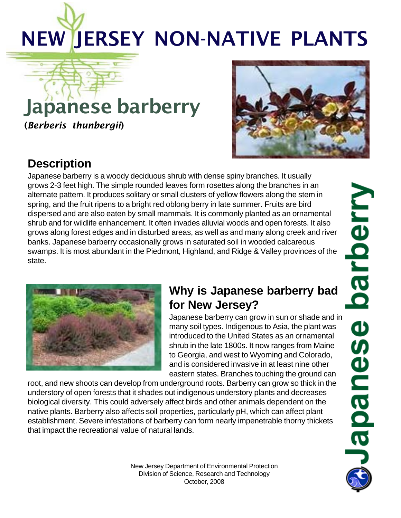# NEW JERSEY NON-NATIVE PLANTS

# Japanese barberry

(*Berberis thunbergii*)



## **Description**

Japanese barberry is a woody deciduous shrub with dense spiny branches. It usually grows 2-3 feet high. The simple rounded leaves form rosettes along the branches in an alternate pattern. It produces solitary or small clusters of yellow flowers along the stem in spring, and the fruit ripens to a bright red oblong berry in late summer. Fruits are bird dispersed and are also eaten by small mammals. It is commonly planted as an ornamental shrub and for wildlife enhancement. It often invades alluvial woods and open forests. It also grows along forest edges and in disturbed areas, as well as and many along creek and river banks. Japanese barberry occasionally grows in saturated soil in wooded calcareous swamps. It is most abundant in the Piedmont, Highland, and Ridge & Valley provinces of the state.



### **Why is Japanese barberry bad for New Jersey?**

Japanese barberry can grow in sun or shade and in many soil types. Indigenous to Asia, the plant was introduced to the United States as an ornamental shrub in the late 1800s. It now ranges from Maine to Georgia, and west to Wyoming and Colorado, and is considered invasive in at least nine other eastern states. Branches touching the ground can

root, and new shoots can develop from underground roots. Barberry can grow so thick in the understory of open forests that it shades out indigenous understory plants and decreases biological diversity. This could adversely affect birds and other animals dependent on the native plants. Barberry also affects soil properties, particularly pH, which can affect plant establishment. Severe infestations of barberry can form nearly impenetrable thorny thickets that impact the recreational value of natural lands.

barberry **Beurede** 

New Jersey Department of Environmental Protection Division of Science, Research and Technology October, 2008